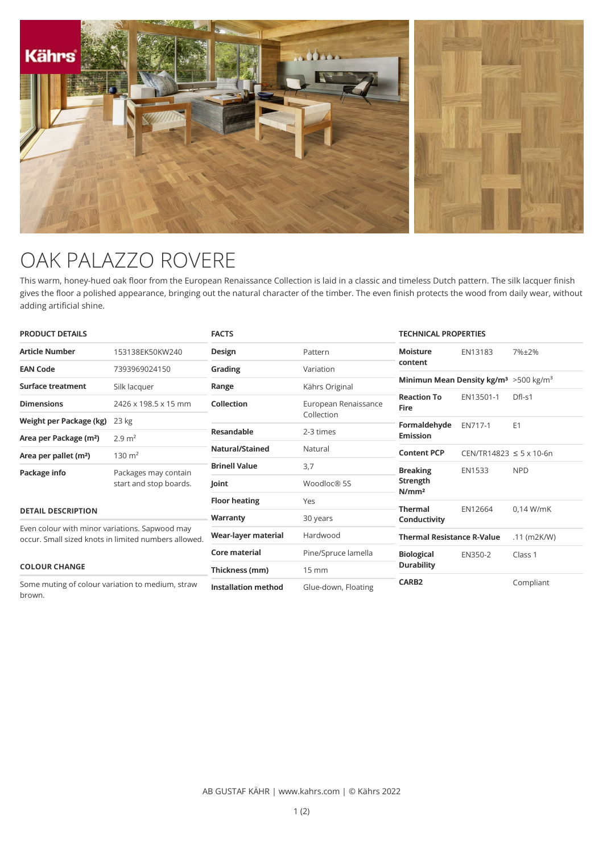

## OAK PALAZZO ROVERE

This warm, honey-hued oak floor from the European Renaissance Collection is laid in a classic and timeless Dutch pattern. The silk lacquer finish gives the floor a polished appearance, bringing out the natural character of the timber. The even finish protects the wood from daily wear, without adding artificial shine.

| <b>PRODUCT DETAILS</b>                                                                                                         |                                                | <b>FACTS</b>           |                                    | <b>TECHNICAL PROPERTIES</b>                                    |                                   |               |
|--------------------------------------------------------------------------------------------------------------------------------|------------------------------------------------|------------------------|------------------------------------|----------------------------------------------------------------|-----------------------------------|---------------|
| <b>Article Number</b>                                                                                                          | 153138EK50KW240                                | Design                 | Pattern                            | <b>Moisture</b>                                                | EN13183                           | 7%±2%         |
| <b>EAN Code</b>                                                                                                                | 7393969024150                                  | Grading                | Variation                          | content                                                        |                                   |               |
| Surface treatment                                                                                                              | Silk lacquer                                   | Range                  | Kährs Original                     | Minimun Mean Density kg/m <sup>3</sup> > 500 kg/m <sup>3</sup> |                                   |               |
| <b>Dimensions</b>                                                                                                              | 2426 x 198.5 x 15 mm                           | Collection             | European Renaissance<br>Collection | <b>Reaction To</b><br><b>Fire</b>                              | EN13501-1                         | Dfl-s1        |
| Weight per Package (kg)                                                                                                        | 23 kg                                          |                        | Formaldehyde                       | EN717-1                                                        | E <sub>1</sub>                    |               |
| Area per Package (m <sup>2</sup> )                                                                                             | $2.9 \text{ m}^2$                              | <b>Resandable</b>      | 2-3 times                          | <b>Emission</b>                                                |                                   |               |
| Area per pallet (m <sup>2</sup> )                                                                                              | $130 \text{ m}^2$                              | <b>Natural/Stained</b> | Natural                            | <b>Content PCP</b>                                             | $CEN/TR14823 \le 5 \times 10.6$ n |               |
| Package info                                                                                                                   | Packages may contain<br>start and stop boards. | <b>Brinell Value</b>   | 3,7                                | <b>Breaking</b><br>Strength<br>N/mm <sup>2</sup>               | <b>EN1533</b>                     | <b>NPD</b>    |
|                                                                                                                                |                                                | Joint                  | Woodloc® 5S                        |                                                                |                                   |               |
|                                                                                                                                |                                                | <b>Floor heating</b>   | Yes                                |                                                                |                                   |               |
| <b>DETAIL DESCRIPTION</b>                                                                                                      |                                                | Warranty               | 30 years                           | <b>Thermal</b>                                                 | EN12664                           | $0.14$ W/mK   |
| Even colour with minor variations. Sapwood may<br>occur. Small sized knots in limited numbers allowed.<br><b>COLOUR CHANGE</b> |                                                |                        |                                    | Conductivity                                                   |                                   |               |
|                                                                                                                                |                                                | Wear-layer material    | Hardwood                           | <b>Thermal Resistance R-Value</b>                              |                                   | $.11$ (m2K/W) |
|                                                                                                                                |                                                | <b>Core material</b>   | Pine/Spruce lamella                | <b>Biological</b>                                              | EN350-2                           | Class 1       |
|                                                                                                                                |                                                | Thickness (mm)         | $15 \text{ mm}$                    | <b>Durability</b>                                              |                                   |               |
| Some muting of colour variation to medium, straw<br><b>Installation method</b><br>brown.                                       |                                                | Glue-down, Floating    | <b>CARB2</b>                       |                                                                | Compliant                         |               |